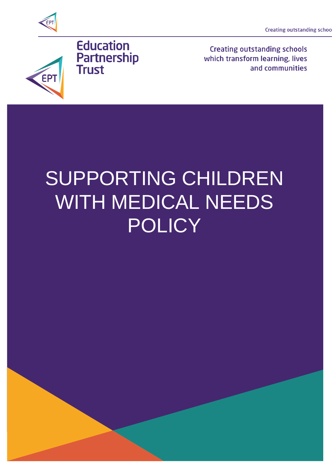**Creating outstanding schoo** 





**Creating outstanding schools** which transform learning, lives and communities

# SUPPORTING CHILDREN WITH MEDICAL NEEDS POLICY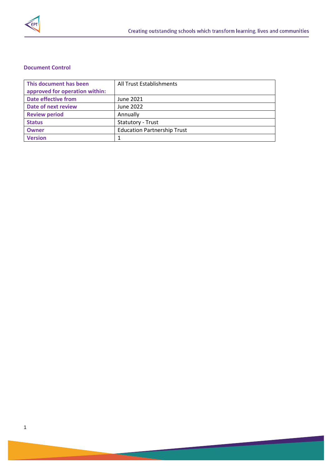

# **Document Control**

| This document has been         | All Trust Establishments           |
|--------------------------------|------------------------------------|
| approved for operation within: |                                    |
| <b>Date effective from</b>     | June 2021                          |
| Date of next review            | June 2022                          |
| <b>Review period</b>           | Annually                           |
| <b>Status</b>                  | <b>Statutory - Trust</b>           |
| <b>Owner</b>                   | <b>Education Partnership Trust</b> |
| <b>Version</b>                 |                                    |

 $\overline{\phantom{a}}$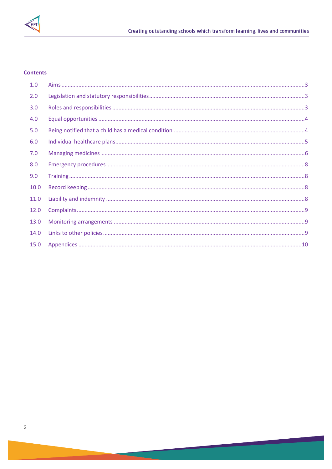

## **Contents**

| 1.0  |  |
|------|--|
| 2.0  |  |
| 3.0  |  |
| 4.0  |  |
| 5.0  |  |
| 6.0  |  |
| 7.0  |  |
| 8.0  |  |
| 9.0  |  |
| 10.0 |  |
| 11.0 |  |
| 12.0 |  |
| 13.0 |  |
| 14.0 |  |
| 15.0 |  |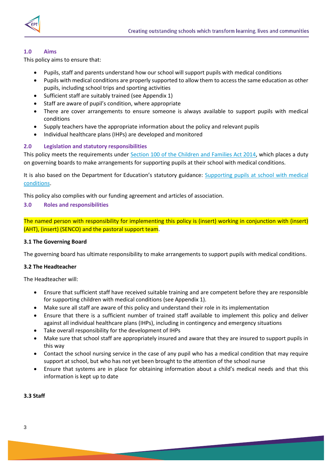

## <span id="page-3-0"></span>**1.0 Aims**

This policy aims to ensure that:

- Pupils, staff and parents understand how our school will support pupils with medical conditions
- Pupils with medical conditions are properly supported to allow them to access the same education as other pupils, including school trips and sporting activities
- Sufficient staff are suitably trained (see Appendix 1)
- Staff are aware of pupil's condition, where appropriate
- There are cover arrangements to ensure someone is always available to support pupils with medical conditions
- Supply teachers have the appropriate information about the policy and relevant pupils
- Individual healthcare plans (IHPs) are developed and monitored

## <span id="page-3-1"></span>**2.0 Legislation and statutory responsibilities**

This policy meets the requirements under Section 100 of the [Children and Families Act 2014,](http://www.legislation.gov.uk/ukpga/2014/6/part/5/crossheading/pupils-with-medical-conditions) which places a duty on governing boards to make arrangements for supporting pupils at their school with medical conditions.

It is also based on the Department for Education's statutory guidance: [Supporting pupils at school with medical](https://www.gov.uk/government/uploads/system/uploads/attachment_data/file/484418/supporting-pupils-at-school-with-medical-conditions.pdf)  [conditions.](https://www.gov.uk/government/uploads/system/uploads/attachment_data/file/484418/supporting-pupils-at-school-with-medical-conditions.pdf)

This policy also complies with our funding agreement and articles of association.

## <span id="page-3-2"></span>**3.0 Roles and responsibilities**

The named person with responsibility for implementing this policy is (insert) working in conjunction with (insert) (AHT), (insert) (SENCO) and the pastoral support team.

#### **3.1 The Governing Board**

The governing board has ultimate responsibility to make arrangements to support pupils with medical conditions.

#### **3.2 The Headteacher**

The Headteacher will:

- Ensure that sufficient staff have received suitable training and are competent before they are responsible for supporting children with medical conditions (see Appendix 1).
- Make sure all staff are aware of this policy and understand their role in its implementation
- Ensure that there is a sufficient number of trained staff available to implement this policy and deliver against all individual healthcare plans (IHPs), including in contingency and emergency situations
- Take overall responsibility for the development of IHPs
- Make sure that school staff are appropriately insured and aware that they are insured to support pupils in this way
- Contact the school nursing service in the case of any pupil who has a medical condition that may require support at school, but who has not yet been brought to the attention of the school nurse
- Ensure that systems are in place for obtaining information about a child's medical needs and that this information is kept up to date

#### **3.3 Staff**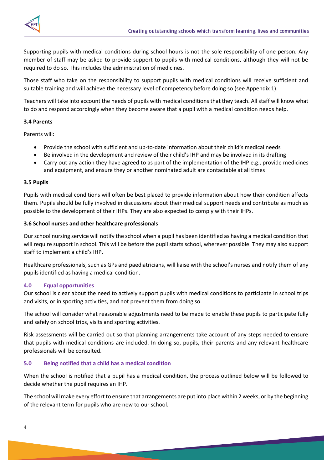

Supporting pupils with medical conditions during school hours is not the sole responsibility of one person. Any member of staff may be asked to provide support to pupils with medical conditions, although they will not be required to do so. This includes the administration of medicines.

Those staff who take on the responsibility to support pupils with medical conditions will receive sufficient and suitable training and will achieve the necessary level of competency before doing so (see Appendix 1).

Teachers will take into account the needs of pupils with medical conditions that they teach. All staff will know what to do and respond accordingly when they become aware that a pupil with a medical condition needs help.

## **3.4 Parents**

Parents will:

- Provide the school with sufficient and up-to-date information about their child's medical needs
- Be involved in the development and review of their child's IHP and may be involved in its drafting
- Carry out any action they have agreed to as part of the implementation of the IHP e.g., provide medicines and equipment, and ensure they or another nominated adult are contactable at all times

#### **3.5 Pupils**

Pupils with medical conditions will often be best placed to provide information about how their condition affects them. Pupils should be fully involved in discussions about their medical support needs and contribute as much as possible to the development of their IHPs. They are also expected to comply with their IHPs.

#### **3.6 School nurses and other healthcare professionals**

Our school nursing service will notify the school when a pupil has been identified as having a medical condition that will require support in school. This will be before the pupil starts school, wherever possible. They may also support staff to implement a child's IHP.

Healthcare professionals, such as GPs and paediatricians, will liaise with the school's nurses and notify them of any pupils identified as having a medical condition.

#### <span id="page-4-0"></span>**4.0 Equal opportunities**

Our school is clear about the need to actively support pupils with medical conditions to participate in school trips and visits, or in sporting activities, and not prevent them from doing so.

The school will consider what reasonable adjustments need to be made to enable these pupils to participate fully and safely on school trips, visits and sporting activities.

Risk assessments will be carried out so that planning arrangements take account of any steps needed to ensure that pupils with medical conditions are included. In doing so, pupils, their parents and any relevant healthcare professionals will be consulted.

#### <span id="page-4-1"></span>**5.0 Being notified that a child has a medical condition**

When the school is notified that a pupil has a medical condition, the process outlined below will be followed to decide whether the pupil requires an IHP.

The school will make every effort to ensure that arrangements are put into place within 2 weeks, or by the beginning of the relevant term for pupils who are new to our school.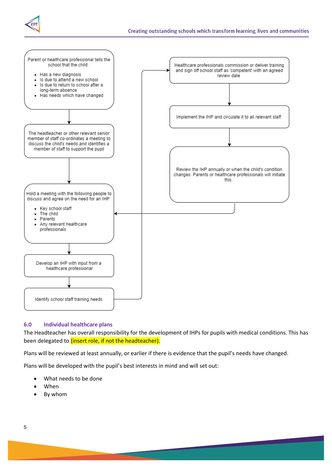



#### <span id="page-5-0"></span>**6.0 Individual healthcare plans**

The Headteacher has overall responsibility for the development of IHPs for pupils with medical conditions. This has been delegated to *(insert role, if not the headteacher)*.

Plans will be reviewed at least annually, or earlier if there is evidence that the pupil's needs have changed.

Plans will be developed with the pupil's best interests in mind and will set out:

- What needs to be done
- When
- By whom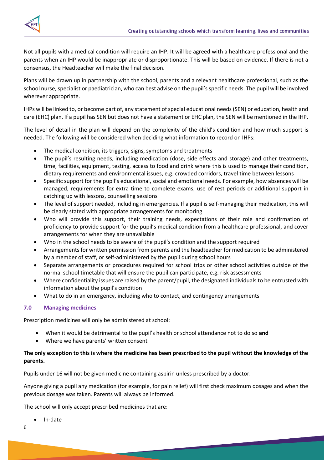

Not all pupils with a medical condition will require an IHP. It will be agreed with a healthcare professional and the parents when an IHP would be inappropriate or disproportionate. This will be based on evidence. If there is not a consensus, the Headteacher will make the final decision.

Plans will be drawn up in partnership with the school, parents and a relevant healthcare professional, such as the school nurse, specialist or paediatrician, who can best advise on the pupil's specific needs. The pupil will be involved wherever appropriate.

IHPs will be linked to, or become part of, any statement of special educational needs (SEN) or education, health and care (EHC) plan. If a pupil has SEN but does not have a statement or EHC plan, the SEN will be mentioned in the IHP.

The level of detail in the plan will depend on the complexity of the child's condition and how much support is needed. The following will be considered when deciding what information to record on IHPs:

- The medical condition, its triggers, signs, symptoms and treatments
- The pupil's resulting needs, including medication (dose, side effects and storage) and other treatments, time, facilities, equipment, testing, access to food and drink where this is used to manage their condition, dietary requirements and environmental issues, e.g. crowded corridors, travel time between lessons
- Specific support for the pupil's educational, social and emotional needs. For example, how absences will be managed, requirements for extra time to complete exams, use of rest periods or additional support in catching up with lessons, counselling sessions
- The level of support needed, including in emergencies. If a pupil is self-managing their medication, this will be clearly stated with appropriate arrangements for monitoring
- Who will provide this support, their training needs, expectations of their role and confirmation of proficiency to provide support for the pupil's medical condition from a healthcare professional, and cover arrangements for when they are unavailable
- Who in the school needs to be aware of the pupil's condition and the support required
- Arrangements for written permission from parents and the headteacher for medication to be administered by a member of staff, or self-administered by the pupil during school hours
- Separate arrangements or procedures required for school trips or other school activities outside of the normal school timetable that will ensure the pupil can participate, e.g. risk assessments
- Where confidentiality issues are raised by the parent/pupil, the designated individuals to be entrusted with information about the pupil's condition
- What to do in an emergency, including who to contact, and contingency arrangements

#### <span id="page-6-0"></span>**7.0 Managing medicines**

Prescription medicines will only be administered at school:

- When it would be detrimental to the pupil's health or school attendance not to do so **and**
- Where we have parents' written consent

# **The only exception to this is where the medicine has been prescribed to the pupil without the knowledge of the parents.**

Pupils under 16 will not be given medicine containing aspirin unless prescribed by a doctor.

Anyone giving a pupil any medication (for example, for pain relief) will first check maximum dosages and when the previous dosage was taken. Parents will always be informed.

The school will only accept prescribed medicines that are:

In-date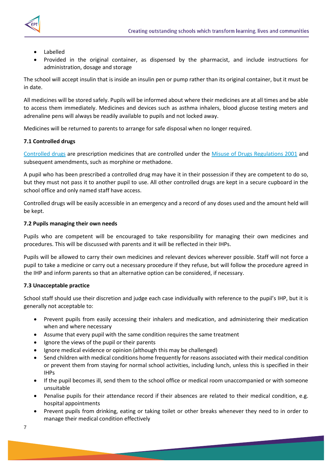

- - Labelled
	- Provided in the original container, as dispensed by the pharmacist, and include instructions for administration, dosage and storage

The school will accept insulin that is inside an insulin pen or pump rather than its original container, but it must be in date.

All medicines will be stored safely. Pupils will be informed about where their medicines are at all times and be able to access them immediately. Medicines and devices such as asthma inhalers, blood glucose testing meters and adrenaline pens will always be readily available to pupils and not locked away.

Medicines will be returned to parents to arrange for safe disposal when no longer required.

# **7.1 Controlled drugs**

[Controlled drugs](http://www.nhs.uk/chq/Pages/1391.aspx?CategoryID=73) are prescription medicines that are controlled under the [Misuse of Drugs Regulations 2001](http://www.legislation.gov.uk/uksi/2001/3998/schedule/1/made) and subsequent amendments, such as morphine or methadone.

A pupil who has been prescribed a controlled drug may have it in their possession if they are competent to do so, but they must not pass it to another pupil to use. All other controlled drugs are kept in a secure cupboard in the school office and only named staff have access.

Controlled drugs will be easily accessible in an emergency and a record of any doses used and the amount held will be kept.

#### **7.2 Pupils managing their own needs**

Pupils who are competent will be encouraged to take responsibility for managing their own medicines and procedures. This will be discussed with parents and it will be reflected in their IHPs.

Pupils will be allowed to carry their own medicines and relevant devices wherever possible. Staff will not force a pupil to take a medicine or carry out a necessary procedure if they refuse, but will follow the procedure agreed in the IHP and inform parents so that an alternative option can be considered, if necessary.

#### **7.3 Unacceptable practice**

School staff should use their discretion and judge each case individually with reference to the pupil's IHP, but it is generally not acceptable to:

- Prevent pupils from easily accessing their inhalers and medication, and administering their medication when and where necessary
- Assume that every pupil with the same condition requires the same treatment
- Ignore the views of the pupil or their parents
- Ignore medical evidence or opinion (although this may be challenged)
- Send children with medical conditions home frequently for reasons associated with their medical condition or prevent them from staying for normal school activities, including lunch, unless this is specified in their IHPs
- If the pupil becomes ill, send them to the school office or medical room unaccompanied or with someone unsuitable
- Penalise pupils for their attendance record if their absences are related to their medical condition, e.g. hospital appointments
- Prevent pupils from drinking, eating or taking toilet or other breaks whenever they need to in order to manage their medical condition effectively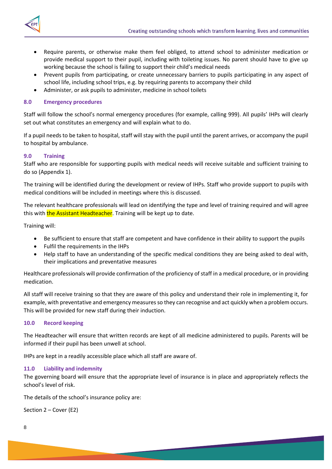



- Require parents, or otherwise make them feel obliged, to attend school to administer medication or provide medical support to their pupil, including with toileting issues. No parent should have to give up working because the school is failing to support their child's medical needs
- Prevent pupils from participating, or create unnecessary barriers to pupils participating in any aspect of school life, including school trips, e.g. by requiring parents to accompany their child
- Administer, or ask pupils to administer, medicine in school toilets

# <span id="page-8-0"></span>**8.0 Emergency procedures**

Staff will follow the school's normal emergency procedures (for example, calling 999). All pupils' IHPs will clearly set out what constitutes an emergency and will explain what to do.

If a pupil needs to be taken to hospital, staff will stay with the pupil until the parent arrives, or accompany the pupil to hospital by ambulance.

# <span id="page-8-1"></span>**9.0 Training**

Staff who are responsible for supporting pupils with medical needs will receive suitable and sufficient training to do so (Appendix 1).

The training will be identified during the development or review of IHPs. Staff who provide support to pupils with medical conditions will be included in meetings where this is discussed.

The relevant healthcare professionals will lead on identifying the type and level of training required and will agree this with the Assistant Headteacher. Training will be kept up to date.

Training will:

- Be sufficient to ensure that staff are competent and have confidence in their ability to support the pupils
- Fulfil the requirements in the IHPs
- Help staff to have an understanding of the specific medical conditions they are being asked to deal with, their implications and preventative measures

Healthcare professionals will provide confirmation of the proficiency of staff in a medical procedure, or in providing medication.

All staff will receive training so that they are aware of this policy and understand their role in implementing it, for example, with preventative and emergency measures so they can recognise and act quickly when a problem occurs. This will be provided for new staff during their induction.

# <span id="page-8-2"></span>**10.0 Record keeping**

The Headteacher will ensure that written records are kept of all medicine administered to pupils. Parents will be informed if their pupil has been unwell at school.

IHPs are kept in a readily accessible place which all staff are aware of.

#### <span id="page-8-3"></span>**11.0 Liability and indemnity**

The governing board will ensure that the appropriate level of insurance is in place and appropriately reflects the school's level of risk.

The details of the school's insurance policy are:

Section 2 – Cover (E2)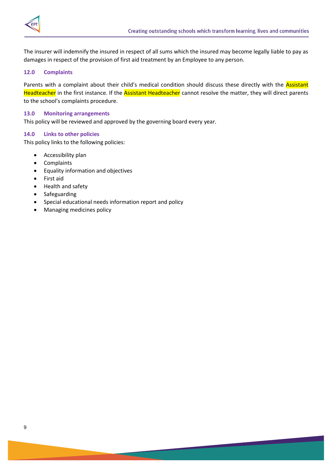

The insurer will indemnify the insured in respect of all sums which the insured may become legally liable to pay as damages in respect of the provision of first aid treatment by an Employee to any person.

## <span id="page-9-0"></span>**12.0 Complaints**

Parents with a complaint about their child's medical condition should discuss these directly with the Assistant Headteacher in the first instance. If the Assistant Headteacher cannot resolve the matter, they will direct parents to the school's complaints procedure.

#### <span id="page-9-1"></span>**13.0 Monitoring arrangements**

This policy will be reviewed and approved by the governing board every year.

#### <span id="page-9-2"></span>**14.0 Links to other policies**

This policy links to the following policies:

- Accessibility plan
- Complaints
- Equality information and objectives
- First aid
- Health and safety
- Safeguarding
- Special educational needs information report and policy
- Managing medicines policy